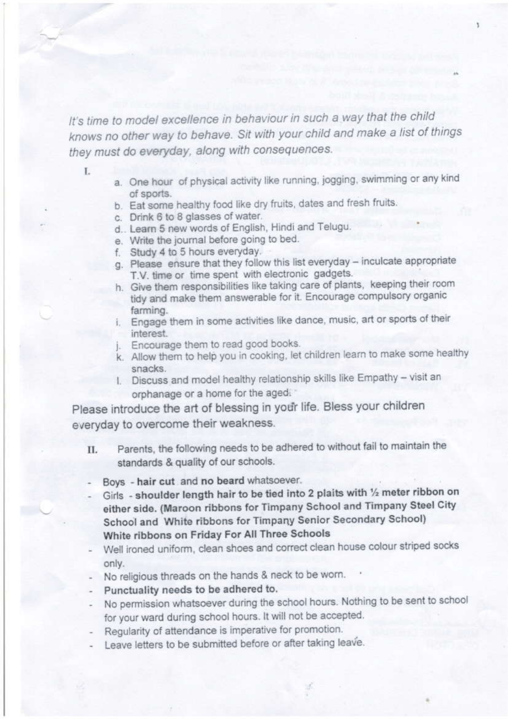It's time to model excellence in behaviour in such a way that the child knows no other way to behave. Sit with your child and make a list of things they must do everyday, along with consequences.

T.

- a. One hour of physical activity like running, jogging, swimming or any kind of sports.
- b. Eat some healthy food like dry fruits, dates and fresh fruits.
- c. Drink 6 to 8 glasses of water.
- d., Learn 5 new words of English, Hindi and Telugu.
- e. Write the journal before going to bed.
- f. Study 4 to 5 hours everyday.
- g. Please ensure that they follow this list everyday inculcate appropriate T.V. time or time spent with electronic gadgets.
- h. Give them responsibilities like taking care of plants, keeping their room tidy and make them answerable for it. Encourage compulsory organic farming.
- i. Engage them in some activities like dance, music, art or sports of their interest.
- j. Encourage them to read good books.
- k. Allow them to help you in cooking, let children learn to make some healthy snacks.
- I. Discuss and model healthy relationship skills like Empathy visit an orphanage or a home for the aged.

Please introduce the art of blessing in your life. Bless your children everyday to overcome their weakness.

- Parents, the following needs to be adhered to without fail to maintain the II. standards & quality of our schools.
- Boys hair cut and no beard whatsoever.
- Girls shoulder length hair to be tied into 2 plaits with 1/2 meter ribbon on either side. (Maroon ribbons for Timpany School and Timpany Steel City School and White ribbons for Timpany Senior Secondary School) White ribbons on Friday For All Three Schools
- Well ironed uniform, clean shoes and correct clean house colour striped socks only.
- No religious threads on the hands & neck to be worn.
- Punctuality needs to be adhered to.
- No permission whatsoever during the school hours. Nothing to be sent to school for your ward during school hours. It will not be accepted.
- Regularity of attendance is imperative for promotion.
- Leave letters to be submitted before or after taking leave.